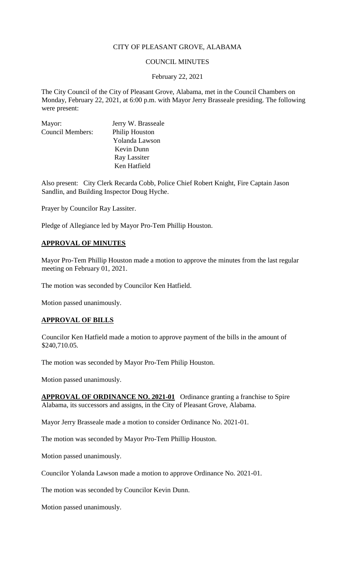## CITY OF PLEASANT GROVE, ALABAMA

### COUNCIL MINUTES

#### February 22, 2021

The City Council of the City of Pleasant Grove, Alabama, met in the Council Chambers on Monday, February 22, 2021, at 6:00 p.m. with Mayor Jerry Brasseale presiding. The following were present:

| Mayor:                  | Jerry W. Brasseale |
|-------------------------|--------------------|
| <b>Council Members:</b> | Philip Houston     |
|                         | Yolanda Lawson     |
|                         | Kevin Dunn         |
|                         | Ray Lassiter       |
|                         | Ken Hatfield       |

Also present: City Clerk Recarda Cobb, Police Chief Robert Knight, Fire Captain Jason Sandlin, and Building Inspector Doug Hyche.

Prayer by Councilor Ray Lassiter.

Pledge of Allegiance led by Mayor Pro-Tem Phillip Houston.

### **APPROVAL OF MINUTES**

Mayor Pro-Tem Phillip Houston made a motion to approve the minutes from the last regular meeting on February 01, 2021.

The motion was seconded by Councilor Ken Hatfield.

Motion passed unanimously.

### **APPROVAL OF BILLS**

Councilor Ken Hatfield made a motion to approve payment of the bills in the amount of \$240,710.05.

The motion was seconded by Mayor Pro-Tem Philip Houston.

Motion passed unanimously.

**APPROVAL OF ORDINANCE NO. 2021-01** Ordinance granting a franchise to Spire Alabama, its successors and assigns, in the City of Pleasant Grove, Alabama.

Mayor Jerry Brasseale made a motion to consider Ordinance No. 2021-01.

The motion was seconded by Mayor Pro-Tem Phillip Houston.

Motion passed unanimously.

Councilor Yolanda Lawson made a motion to approve Ordinance No. 2021-01.

The motion was seconded by Councilor Kevin Dunn.

Motion passed unanimously.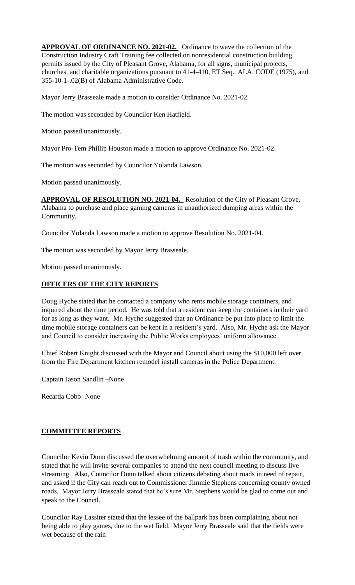**APPROVAL OF ORDINANCE NO. 2021-02.** Ordinance to wave the collection of the Construction Industry Craft Training fee collected on nonresidential construction building permits issued by the City of Pleasant Grove, Alabama, for all signs, municipal projects, churches, and charitable organizations pursuant to 41-4-410, ET Seq., ALA. CODE (1975), and 355-10-1-.02(B) of Alabama Administrative Code.

Mayor Jerry Brasseale made a motion to consider Ordinance No. 2021-02.

The motion was seconded by Councilor Ken Hatfield.

Motion passed unanimously.

Mayor Pro-Tem Phillip Houston made a motion to approve Ordinance No. 2021-02.

The motion was seconded by Councilor Yolanda Lawson.

Motion passed unanimously.

**APPROVAL OF RESOLUTION NO. 2021-04.** Resolution of the City of Pleasant Grove, Alabama to purchase and place gaming cameras in unauthorized dumping areas within the Community.

Councilor Yolanda Lawson made a motion to approve Resolution No. 2021-04.

The motion was seconded by Mayor Jerry Brasseale.

Motion passed unanimously.

## **OFFICERS OF THE CITY REPORTS**

Doug Hyche stated that he contacted a company who rents mobile storage containers, and inquired about the time period. He was told that a resident can keep the containers in their yard for as long as they want. Mr. Hyche suggested that an Ordinance be put into place to limit the time mobile storage containers can be kept in a resident's yard. Also, Mr. Hyche ask the Mayor and Council to consider increasing the Public Works employees' uniform allowance.

Chief Robert Knight discussed with the Mayor and Council about using the \$10,000 left over from the Fire Department kitchen remodel install cameras in the Police Department.

Captain Jason Sandlin –None

Recarda Cobb- None

# **COMMITTEE REPORTS**

Councilor Kevin Dunn discussed the overwhelming amount of trash within the community, and stated that he will invite several companies to attend the next council meeting to discuss live streaming. Also, Councilor Dunn talked about citizens debating about roads in need of repair, and asked if the City can reach out to Commissioner Jimmie Stephens concerning county owned roads. Mayor Jerry Brasseale stated that he's sure Mr. Stephens would be glad to come out and speak to the Council.

Councilor Ray Lassiter stated that the lessee of the ballpark has been complaining about not being able to play games, due to the wet field. Mayor Jerry Brasseale said that the fields were wet because of the rain